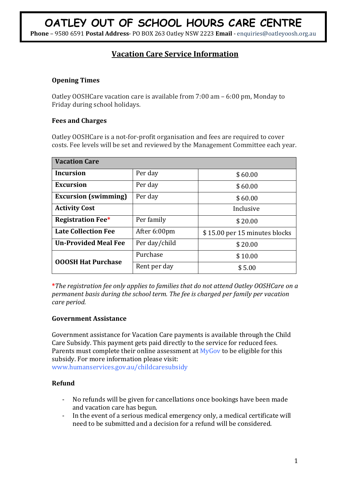**Phone** – 9580 6591 **Postal Address**- PO BOX 263 Oatley NSW 2223 **Email** - enquiries@oatleyoosh.org.au

# **Vacation Care Service Information**

## **Opening Times**

Oatley OOSHCare vacation care is available from 7:00 am – 6:00 pm, Monday to Friday during school holidays.

## **Fees and Charges**

Oatley OOSHCare is a not-for-profit organisation and fees are required to cover costs. Fee levels will be set and reviewed by the Management Committee each year.

| <b>Vacation Care</b>        |               |                               |
|-----------------------------|---------------|-------------------------------|
| <b>Incursion</b>            | Per day       | \$60.00                       |
| <b>Excursion</b>            | Per day       | \$60.00                       |
| <b>Excursion (swimming)</b> | Per day       | \$60.00                       |
| <b>Activity Cost</b>        |               | Inclusive                     |
| <b>Registration Fee*</b>    | Per family    | \$20.00                       |
| <b>Late Collection Fee</b>  | After 6:00pm  | \$15.00 per 15 minutes blocks |
| <b>Un-Provided Meal Fee</b> | Per day/child | \$20.00                       |
| <b>OOOSH Hat Purchase</b>   | Purchase      | \$10.00                       |
|                             | Rent per day  | \$5.00                        |

**\****The registration fee only applies to families that do not attend Oatley OOSHCare on a permanent basis during the school term. The fee is charged per family per vacation care period.*

## **Government Assistance**

Government assistance for Vacation Care payments is available through the Child Care Subsidy. This payment gets paid directly to the service for reduced fees. Parents must complete their online assessment at  $MyGov$  to be eligible for this subsidy. For more information please visit:

www.humanservices.gov.au/childcaresubsidy

# **Refund**

- No refunds will be given for cancellations once bookings have been made and vacation care has begun.
- In the event of a serious medical emergency only, a medical certificate will need to be submitted and a decision for a refund will be considered.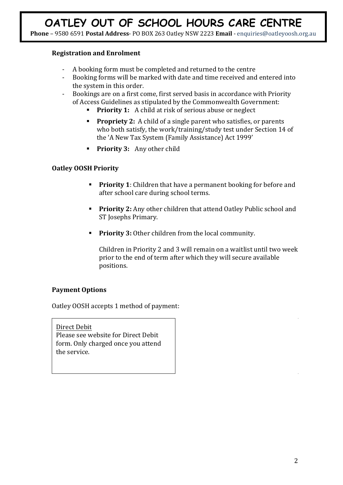## **Registration and Enrolment**

- A booking form must be completed and returned to the centre
- Booking forms will be marked with date and time received and entered into the system in this order.
- Bookings are on a first come, first served basis in accordance with Priority of Access Guidelines as stipulated by the Commonwealth Government:
	- **Priority 1:** A child at risk of serious abuse or neglect
	- **Propriety 2:** A child of a single parent who satisfies, or parents who both satisfy, the work/training/study test under Section 14 of the 'A New Tax System (Family Assistance) Act 1999'
	- **Priority 3:** Any other child

## **Oatley OOSH Priority**

- **Priority 1**: Children that have a permanent booking for before and after school care during school terms.
- **Priority 2:** Any other children that attend Oatley Public school and ST Josephs Primary.
- **Priority 3:** Other children from the local community.

Children in Priority 2 and 3 will remain on a waitlist until two week prior to the end of term after which they will secure available positions.

# **Payment Options**

Oatley OOSH accepts 1 method of payment:

Direct Debit Please see website for Direct Debit form. Only charged once you attend the service.